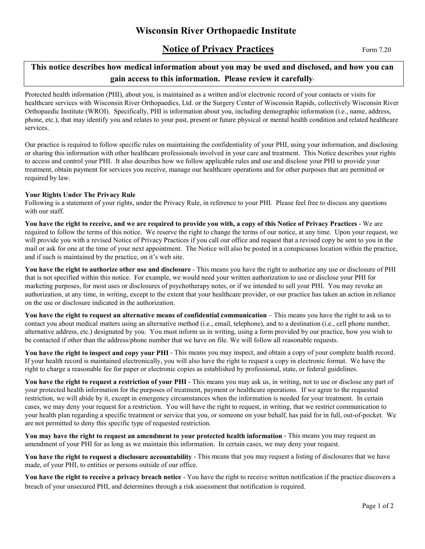# Wisconsin River Orthopaedic Institute

# **Notice of Privacy Practices** Form 7.20

## This notice describes how medical information about you may be used and disclosed, and how you can gain access to this information. Please review it carefully.

Protected health information (PHI), about you, is maintained as a written and/or electronic record of your contacts or visits for healthcare services with Wisconsin River Orthopaedics, Ltd. or the Surgery Center of Wisconsin Rapids, collectively Wisconsin River Orthopaedic Institute (WROI). Specifically, PHI is information about you, including demographic information (i.e., name, address, phone, etc.), that may identify you and relates to your past, present or future physical or mental health condition and related healthcare services.

Our practice is required to follow specific rules on maintaining the confidentiality of your PHI, using your information, and disclosing or sharing this information with other healthcare professionals involved in your care and treatment. This Notice describes your rights to access and control your PHI. It also describes how we follow applicable rules and use and disclose your PHI to provide your treatment, obtain payment for services you receive, manage our healthcare operations and for other purposes that are permitted or required by law.

#### Your Rights Under The Privacy Rule

Following is a statement of your rights, under the Privacy Rule, in reference to your PHI. Please feel free to discuss any questions with our staff.

You have the right to receive, and we are required to provide you with, a copy of this Notice of Privacy Practices - We are required to follow the terms of this notice. We reserve the right to change the terms of our notice, at any time. Upon your request, we will provide you with a revised Notice of Privacy Practices if you call our office and request that a revised copy be sent to you in the mail or ask for one at the time of your next appointment. The Notice will also be posted in a conspicuous location within the practice, and if such is maintained by the practice, on it's web site.

You have the right to authorize other use and disclosure - This means you have the right to authorize any use or disclosure of PHI that is not specified within this notice. For example, we would need your written authorization to use or disclose your PHI for marketing purposes, for most uses or disclosures of psychotherapy notes, or if we intended to sell your PHI. You may revoke an authorization, at any time, in writing, except to the extent that your healthcare provider, or our practice has taken an action in reliance on the use or disclosure indicated in the authorization.

You have the right to request an alternative means of confidential communication – This means you have the right to ask us to contact you about medical matters using an alternative method (i.e., email, telephone), and to a destination (i.e., cell phone number, alternative address, etc.) designated by you. You must inform us in writing, using a form provided by our practice, how you wish to be contacted if other than the address/phone number that we have on file. We will follow all reasonable requests.

You have the right to inspect and copy your PHI - This means you may inspect, and obtain a copy of your complete health record. If your health record is maintained electronically, you will also have the right to request a copy in electronic format. We have the right to charge a reasonable fee for paper or electronic copies as established by professional, state, or federal guidelines.

You have the right to request a restriction of your PHI - This means you may ask us, in writing, not to use or disclose any part of your protected health information for the purposes of treatment, payment or healthcare operations. If we agree to the requested restriction, we will abide by it, except in emergency circumstances when the information is needed for your treatment. In certain cases, we may deny your request for a restriction. You will have the right to request, in writing, that we restrict communication to your health plan regarding a specific treatment or service that you, or someone on your behalf, has paid for in full, out-of-pocket. We are not permitted to deny this specific type of requested restriction.

You may have the right to request an amendment to your protected health information - This means you may request an amendment of your PHI for as long as we maintain this information. In certain cases, we may deny your request.

You have the right to request a disclosure accountability - This means that you may request a listing of disclosures that we have made, of your PHI, to entities or persons outside of our office.

You have the right to receive a privacy breach notice - You have the right to receive written notification if the practice discovers a breach of your unsecured PHI, and determines through a risk assessment that notification is required.